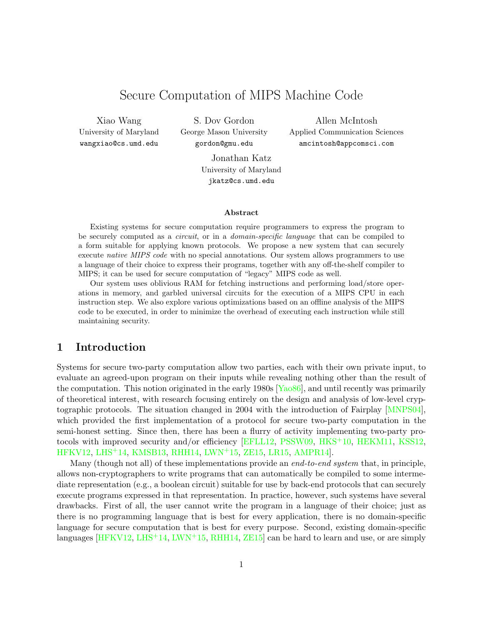# Secure Computation of MIPS Machine Code

Xiao Wang

University of Maryland wangxiao@cs.umd.edu

S. Dov Gordon George Mason University gordon@gmu.edu

Allen McIntosh Applied Communication Sciences amcintosh@appcomsci.com

Jonathan Katz University of Maryland jkatz@cs.umd.edu

#### Abstract

Existing systems for secure computation require programmers to express the program to be securely computed as a *circuit*, or in a *domain-specific language* that can be compiled to a form suitable for applying known protocols. We propose a new system that can securely execute native MIPS code with no special annotations. Our system allows programmers to use a language of their choice to express their programs, together with any off-the-shelf compiler to MIPS; it can be used for secure computation of "legacy" MIPS code as well.

Our system uses oblivious RAM for fetching instructions and performing load/store operations in memory, and garbled universal circuits for the execution of a MIPS CPU in each instruction step. We also explore various optimizations based on an offline analysis of the MIPS code to be executed, in order to minimize the overhead of executing each instruction while still maintaining security.

# 1 Introduction

Systems for secure two-party computation allow two parties, each with their own private input, to evaluate an agreed-upon program on their inputs while revealing nothing other than the result of the computation. This notion originated in the early 1980s  $Y_{\alpha 0}86$ , and until recently was primarily of theoretical interest, with research focusing entirely on the design and analysis of low-level cryptographic protocols. The situation changed in 2004 with the introduction of Fairplay [\[MNPS04\]](#page-21-0), which provided the first implementation of a protocol for secure two-party computation in the semi-honest setting. Since then, there has been a flurry of activity implementing two-party protocols with improved security and/or efficiency [\[EFLL12,](#page-20-0) [PSSW09,](#page-21-1) [HKS](#page-21-2)+10, [HEKM11,](#page-21-3) [KSS12,](#page-21-4) [HFKV12,](#page-21-5) [LHS](#page-21-6)+14, [KMSB13,](#page-21-7) [RHH14,](#page-21-8) [LWN](#page-21-9)+15, [ZE15,](#page-22-1) [LR15,](#page-21-10) [AMPR14\]](#page-20-1).

Many (though not all) of these implementations provide an *end-to-end system* that, in principle, allows non-cryptographers to write programs that can automatically be compiled to some intermediate representation (e.g., a boolean circuit) suitable for use by back-end protocols that can securely execute programs expressed in that representation. In practice, however, such systems have several drawbacks. First of all, the user cannot write the program in a language of their choice; just as there is no programming language that is best for every application, there is no domain-specific language for secure computation that is best for every purpose. Second, existing domain-specific languages  $[HFKV12, LHS<sup>+</sup>14, LWN<sup>+</sup>15, RHH14, ZE15]$  $[HFKV12, LHS<sup>+</sup>14, LWN<sup>+</sup>15, RHH14, ZE15]$  $[HFKV12, LHS<sup>+</sup>14, LWN<sup>+</sup>15, RHH14, ZE15]$  $[HFKV12, LHS<sup>+</sup>14, LWN<sup>+</sup>15, RHH14, ZE15]$  $[HFKV12, LHS<sup>+</sup>14, LWN<sup>+</sup>15, RHH14, ZE15]$  $[HFKV12, LHS<sup>+</sup>14, LWN<sup>+</sup>15, RHH14, ZE15]$  $[HFKV12, LHS<sup>+</sup>14, LWN<sup>+</sup>15, RHH14, ZE15]$  $[HFKV12, LHS<sup>+</sup>14, LWN<sup>+</sup>15, RHH14, ZE15]$  $[HFKV12, LHS<sup>+</sup>14, LWN<sup>+</sup>15, RHH14, ZE15]$  can be hard to learn and use, or are simply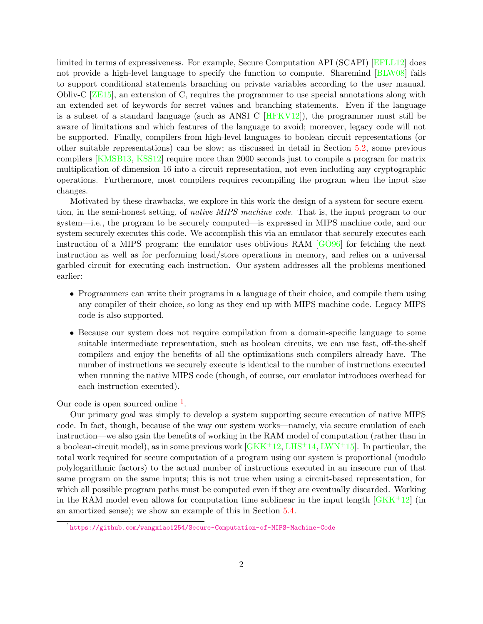limited in terms of expressiveness. For example, Secure Computation API (SCAPI) [\[EFLL12\]](#page-20-0) does not provide a high-level language to specify the function to compute. Sharemind [\[BLW08\]](#page-20-2) fails to support conditional statements branching on private variables according to the user manual. Obliv-C [\[ZE15\]](#page-22-1), an extension of C, requires the programmer to use special annotations along with an extended set of keywords for secret values and branching statements. Even if the language is a subset of a standard language (such as ANSI C [\[HFKV12\]](#page-21-5)), the programmer must still be aware of limitations and which features of the language to avoid; moreover, legacy code will not be supported. Finally, compilers from high-level languages to boolean circuit representations (or other suitable representations) can be slow; as discussed in detail in Section [5.2,](#page-13-0) some previous compilers [\[KMSB13,](#page-21-7) [KSS12\]](#page-21-4) require more than 2000 seconds just to compile a program for matrix multiplication of dimension 16 into a circuit representation, not even including any cryptographic operations. Furthermore, most compilers requires recompiling the program when the input size changes.

Motivated by these drawbacks, we explore in this work the design of a system for secure execution, in the semi-honest setting, of native MIPS machine code. That is, the input program to our system—i.e., the program to be securely computed—is expressed in MIPS machine code, and our system securely executes this code. We accomplish this via an emulator that securely executes each instruction of a MIPS program; the emulator uses oblivious RAM [\[GO96\]](#page-21-11) for fetching the next instruction as well as for performing load/store operations in memory, and relies on a universal garbled circuit for executing each instruction. Our system addresses all the problems mentioned earlier:

- Programmers can write their programs in a language of their choice, and compile them using any compiler of their choice, so long as they end up with MIPS machine code. Legacy MIPS code is also supported.
- Because our system does not require compilation from a domain-specific language to some suitable intermediate representation, such as boolean circuits, we can use fast, off-the-shelf compilers and enjoy the benefits of all the optimizations such compilers already have. The number of instructions we securely execute is identical to the number of instructions executed when running the native MIPS code (though, of course, our emulator introduces overhead for each instruction executed).

Our code is open sourced online  $<sup>1</sup>$  $<sup>1</sup>$  $<sup>1</sup>$ .</sup>

Our primary goal was simply to develop a system supporting secure execution of native MIPS code. In fact, though, because of the way our system works—namely, via secure emulation of each instruction—we also gain the benefits of working in the RAM model of computation (rather than in a boolean-circuit model), as in some previous work  $\left[\frac{GKK^+12, \text{L}HS^+14, \text{L}WW^+15}{GKK^+12, \text{L}}\right]$ . In particular, the total work required for secure computation of a program using our system is proportional (modulo polylogarithmic factors) to the actual number of instructions executed in an insecure run of that same program on the same inputs; this is not true when using a circuit-based representation, for which all possible program paths must be computed even if they are eventually discarded. Working in the RAM model even allows for computation time sublinear in the input length  $\left[\frac{G}{K} + 12\right]$  (in an amortized sense); we show an example of this in Section [5.4.](#page-15-0)

<span id="page-1-0"></span><sup>1</sup> <https://github.com/wangxiao1254/Secure-Computation-of-MIPS-Machine-Code>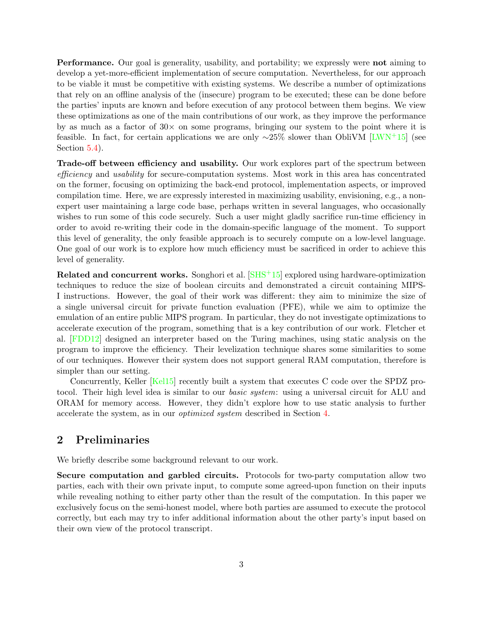**Performance.** Our goal is generality, usability, and portability; we expressly were **not** aiming to develop a yet-more-efficient implementation of secure computation. Nevertheless, for our approach to be viable it must be competitive with existing systems. We describe a number of optimizations that rely on an offline analysis of the (insecure) program to be executed; these can be done before the parties' inputs are known and before execution of any protocol between them begins. We view these optimizations as one of the main contributions of our work, as they improve the performance by as much as a factor of  $30\times$  on some programs, bringing our system to the point where it is feasible. In fact, for certain applications we are only ∼25% slower than ObliVM [\[LWN](#page-21-9)+15] (see Section  $5.4$ ).

Trade-off between efficiency and usability. Our work explores part of the spectrum between efficiency and usability for secure-computation systems. Most work in this area has concentrated on the former, focusing on optimizing the back-end protocol, implementation aspects, or improved compilation time. Here, we are expressly interested in maximizing usability, envisioning, e.g., a nonexpert user maintaining a large code base, perhaps written in several languages, who occasionally wishes to run some of this code securely. Such a user might gladly sacrifice run-time efficiency in order to avoid re-writing their code in the domain-specific language of the moment. To support this level of generality, the only feasible approach is to securely compute on a low-level language. One goal of our work is to explore how much efficiency must be sacrificed in order to achieve this level of generality.

Related and concurrent works. Songhori et al. [\[SHS](#page-22-2)+15] explored using hardware-optimization techniques to reduce the size of boolean circuits and demonstrated a circuit containing MIPS-I instructions. However, the goal of their work was different: they aim to minimize the size of a single universal circuit for private function evaluation (PFE), while we aim to optimize the emulation of an entire public MIPS program. In particular, they do not investigate optimizations to accelerate execution of the program, something that is a key contribution of our work. Fletcher et al. [\[FDD12\]](#page-20-4) designed an interpreter based on the Turing machines, using static analysis on the program to improve the efficiency. Their levelization technique shares some similarities to some of our techniques. However their system does not support general RAM computation, therefore is simpler than our setting.

Concurrently, Keller [\[Kel15\]](#page-21-12) recently built a system that executes C code over the SPDZ protocol. Their high level idea is similar to our *basic system*: using a universal circuit for ALU and ORAM for memory access. However, they didn't explore how to use static analysis to further accelerate the system, as in our optimized system described in Section [4.](#page-8-0)

## <span id="page-2-0"></span>2 Preliminaries

We briefly describe some background relevant to our work.

Secure computation and garbled circuits. Protocols for two-party computation allow two parties, each with their own private input, to compute some agreed-upon function on their inputs while revealing nothing to either party other than the result of the computation. In this paper we exclusively focus on the semi-honest model, where both parties are assumed to execute the protocol correctly, but each may try to infer additional information about the other party's input based on their own view of the protocol transcript.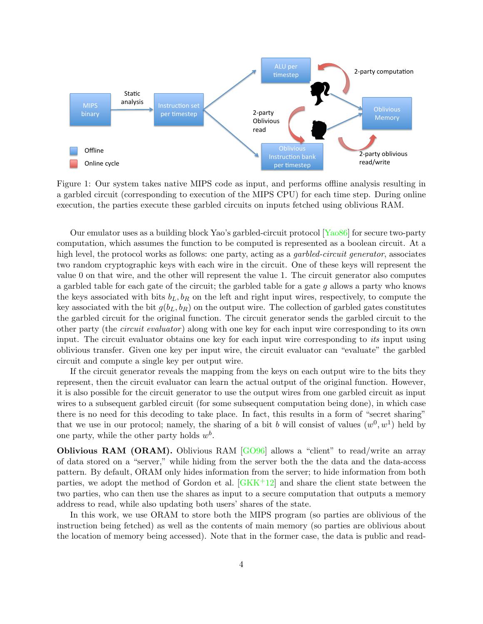

Figure 1: Our system takes native MIPS code as input, and performs offline analysis resulting in a garbled circuit (corresponding to execution of the MIPS CPU) for each time step. During online execution, the parties execute these garbled circuits on inputs fetched using oblivious RAM.

Our emulator uses as a building block Yao's garbled-circuit protocol [\[Yao86\]](#page-22-0) for secure two-party computation, which assumes the function to be computed is represented as a boolean circuit. At a high level, the protocol works as follows: one party, acting as a *garbled-circuit generator*, associates two random cryptographic keys with each wire in the circuit. One of these keys will represent the value 0 on that wire, and the other will represent the value 1. The circuit generator also computes a garbled table for each gate of the circuit; the garbled table for a gate g allows a party who knows the keys associated with bits  $b_L, b_R$  on the left and right input wires, respectively, to compute the key associated with the bit  $g(b_L, b_R)$  on the output wire. The collection of garbled gates constitutes the garbled circuit for the original function. The circuit generator sends the garbled circuit to the other party (the *circuit evaluator*) along with one key for each input wire corresponding to its own input. The circuit evaluator obtains one key for each input wire corresponding to *its* input using oblivious transfer. Given one key per input wire, the circuit evaluator can "evaluate" the garbled circuit and compute a single key per output wire.

If the circuit generator reveals the mapping from the keys on each output wire to the bits they represent, then the circuit evaluator can learn the actual output of the original function. However, it is also possible for the circuit generator to use the output wires from one garbled circuit as input wires to a subsequent garbled circuit (for some subsequent computation being done), in which case there is no need for this decoding to take place. In fact, this results in a form of "secret sharing" that we use in our protocol; namely, the sharing of a bit b will consist of values  $(w^0, w^1)$  held by one party, while the other party holds  $w^b$ .

Oblivious RAM (ORAM). Oblivious RAM [\[GO96\]](#page-21-11) allows a "client" to read/write an array of data stored on a "server," while hiding from the server both the the data and the data-access pattern. By default, ORAM only hides information from the server; to hide information from both parties, we adopt the method of Gordon et al.  $\sqrt{GKK^+12}$  and share the client state between the two parties, who can then use the shares as input to a secure computation that outputs a memory address to read, while also updating both users' shares of the state.

In this work, we use ORAM to store both the MIPS program (so parties are oblivious of the instruction being fetched) as well as the contents of main memory (so parties are oblivious about the location of memory being accessed). Note that in the former case, the data is public and read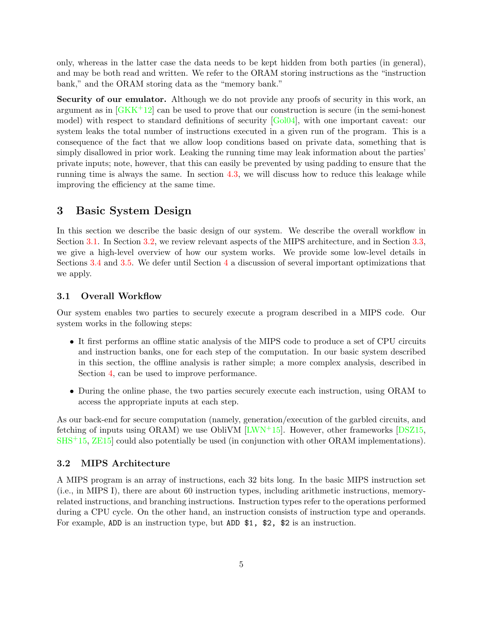only, whereas in the latter case the data needs to be kept hidden from both parties (in general), and may be both read and written. We refer to the ORAM storing instructions as the "instruction bank," and the ORAM storing data as the "memory bank."

Security of our emulator. Although we do not provide any proofs of security in this work, an argument as in  $GKK^+12$  can be used to prove that our construction is secure (in the semi-honest model) with respect to standard definitions of security  $[Gol04]$ , with one important caveat: our system leaks the total number of instructions executed in a given run of the program. This is a consequence of the fact that we allow loop conditions based on private data, something that is simply disallowed in prior work. Leaking the running time may leak information about the parties' private inputs; note, however, that this can easily be prevented by using padding to ensure that the running time is always the same. In section [4.3,](#page-12-0) we will discuss how to reduce this leakage while improving the efficiency at the same time.

### <span id="page-4-2"></span>3 Basic System Design

In this section we describe the basic design of our system. We describe the overall workflow in Section [3.1.](#page-4-0) In Section [3.2,](#page-4-1) we review relevant aspects of the MIPS architecture, and in Section [3.3,](#page-5-0) we give a high-level overview of how our system works. We provide some low-level details in Sections [3.4](#page-6-0) and [3.5.](#page-7-0) We defer until Section [4](#page-8-0) a discussion of several important optimizations that we apply.

#### <span id="page-4-0"></span>3.1 Overall Workflow

Our system enables two parties to securely execute a program described in a MIPS code. Our system works in the following steps:

- It first performs an offline static analysis of the MIPS code to produce a set of CPU circuits and instruction banks, one for each step of the computation. In our basic system described in this section, the offline analysis is rather simple; a more complex analysis, described in Section [4,](#page-8-0) can be used to improve performance.
- During the online phase, the two parties securely execute each instruction, using ORAM to access the appropriate inputs at each step.

As our back-end for secure computation (namely, generation/execution of the garbled circuits, and fetching of inputs using  $ORAM$ ) we use ObliVM [\[LWN](#page-21-9)<sup>+</sup>15]. However, other frameworks [\[DSZ15,](#page-20-5)  $SHS<sup>+</sup>15, ZE15$  $SHS<sup>+</sup>15, ZE15$  could also potentially be used (in conjunction with other ORAM implementations).

#### <span id="page-4-1"></span>3.2 MIPS Architecture

A MIPS program is an array of instructions, each 32 bits long. In the basic MIPS instruction set (i.e., in MIPS I), there are about 60 instruction types, including arithmetic instructions, memoryrelated instructions, and branching instructions. Instruction types refer to the operations performed during a CPU cycle. On the other hand, an instruction consists of instruction type and operands. For example, ADD is an instruction type, but ADD \$1, \$2, \$2 is an instruction.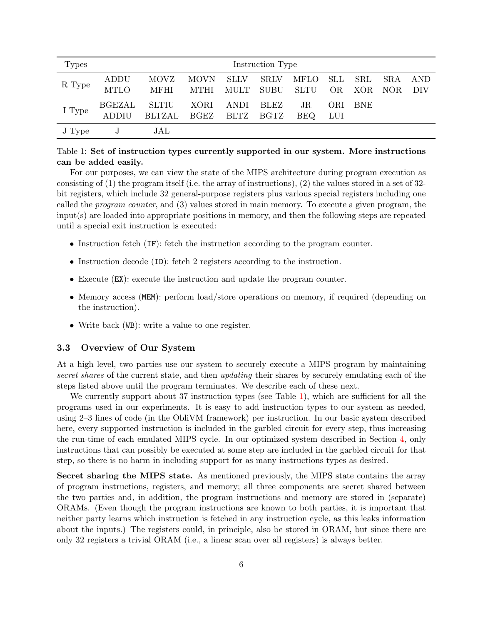<span id="page-5-1"></span>

| <b>Types</b> | Instruction Type              |                               |                     |                            |                            |                     |                         |            |              |             |
|--------------|-------------------------------|-------------------------------|---------------------|----------------------------|----------------------------|---------------------|-------------------------|------------|--------------|-------------|
| R Type       | ADDU<br><b>MTLO</b>           | MOVZ<br><b>MFHI</b>           | <b>MOVN</b><br>MTHI | <b>SLLV</b><br><b>MULT</b> | <b>SRLV</b><br><b>SUBU</b> | MFLO<br><b>SLTU</b> | <b>SLL</b><br><b>OR</b> | SRL<br>XOR | SR.A<br>NOR. | AND.<br>DIV |
| I Type       | <b>BGEZAL</b><br><b>ADDIU</b> | <b>SLTIU</b><br><b>BLTZAL</b> | XORI<br><b>BGEZ</b> | ANDI<br><b>BLTZ</b>        | <b>BLEZ</b><br><b>BGTZ</b> | JR.<br><b>BEQ</b>   | ORI<br><b>LUI</b>       | <b>BNE</b> |              |             |
| J Type       | J                             | JAL                           |                     |                            |                            |                     |                         |            |              |             |

### Table 1: Set of instruction types currently supported in our system. More instructions can be added easily.

For our purposes, we can view the state of the MIPS architecture during program execution as consisting of  $(1)$  the program itself (i.e. the array of instructions),  $(2)$  the values stored in a set of 32bit registers, which include 32 general-purpose registers plus various special registers including one called the program counter, and (3) values stored in main memory. To execute a given program, the input(s) are loaded into appropriate positions in memory, and then the following steps are repeated until a special exit instruction is executed:

- Instruction fetch (IF): fetch the instruction according to the program counter.
- Instruction decode (ID): fetch 2 registers according to the instruction.
- Execute (EX): execute the instruction and update the program counter.
- Memory access (MEM): perform load/store operations on memory, if required (depending on the instruction).
- Write back (WB): write a value to one register.

#### <span id="page-5-0"></span>3.3 Overview of Our System

At a high level, two parties use our system to securely execute a MIPS program by maintaining secret shares of the current state, and then updating their shares by securely emulating each of the steps listed above until the program terminates. We describe each of these next.

We currently support about 37 instruction types (see Table [1\)](#page-5-1), which are sufficient for all the programs used in our experiments. It is easy to add instruction types to our system as needed, using 2–3 lines of code (in the ObliVM framework) per instruction. In our basic system described here, every supported instruction is included in the garbled circuit for every step, thus increasing the run-time of each emulated MIPS cycle. In our optimized system described in Section [4,](#page-8-0) only instructions that can possibly be executed at some step are included in the garbled circuit for that step, so there is no harm in including support for as many instructions types as desired.

Secret sharing the MIPS state. As mentioned previously, the MIPS state contains the array of program instructions, registers, and memory; all three components are secret shared between the two parties and, in addition, the program instructions and memory are stored in (separate) ORAMs. (Even though the program instructions are known to both parties, it is important that neither party learns which instruction is fetched in any instruction cycle, as this leaks information about the inputs.) The registers could, in principle, also be stored in ORAM, but since there are only 32 registers a trivial ORAM (i.e., a linear scan over all registers) is always better.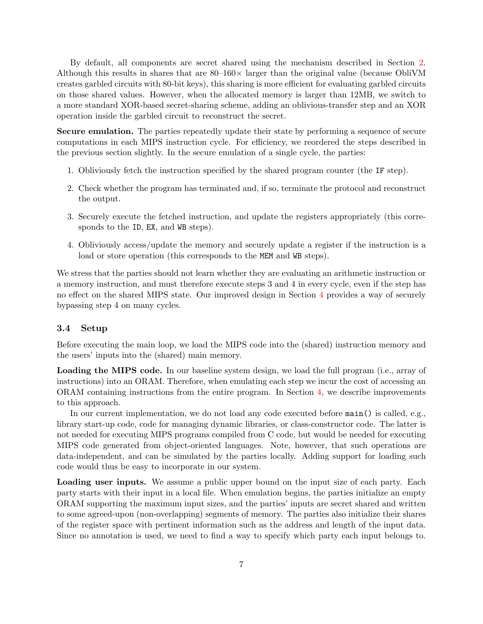By default, all components are secret shared using the mechanism described in Section [2.](#page-2-0) Although this results in shares that are  $80-160\times$  larger than the original value (because ObliVM creates garbled circuits with 80-bit keys), this sharing is more efficient for evaluating garbled circuits on those shared values. However, when the allocated memory is larger than 12MB, we switch to a more standard XOR-based secret-sharing scheme, adding an oblivious-transfer step and an XOR operation inside the garbled circuit to reconstruct the secret.

Secure emulation. The parties repeatedly update their state by performing a sequence of secure computations in each MIPS instruction cycle. For efficiency, we reordered the steps described in the previous section slightly. In the secure emulation of a single cycle, the parties:

- 1. Obliviously fetch the instruction specified by the shared program counter (the IF step).
- 2. Check whether the program has terminated and, if so, terminate the protocol and reconstruct the output.
- 3. Securely execute the fetched instruction, and update the registers appropriately (this corresponds to the ID, EX, and WB steps).
- 4. Obliviously access/update the memory and securely update a register if the instruction is a load or store operation (this corresponds to the MEM and WB steps).

We stress that the parties should not learn whether they are evaluating an arithmetic instruction or a memory instruction, and must therefore execute steps 3 and 4 in every cycle, even if the step has no effect on the shared MIPS state. Our improved design in Section [4](#page-8-0) provides a way of securely bypassing step 4 on many cycles.

#### <span id="page-6-0"></span>3.4 Setup

Before executing the main loop, we load the MIPS code into the (shared) instruction memory and the users' inputs into the (shared) main memory.

Loading the MIPS code. In our baseline system design, we load the full program (i.e., array of instructions) into an ORAM. Therefore, when emulating each step we incur the cost of accessing an ORAM containing instructions from the entire program. In Section [4,](#page-8-0) we describe improvements to this approach.

In our current implementation, we do not load any code executed before  $\text{main}()$  is called, e.g., library start-up code, code for managing dynamic libraries, or class-constructor code. The latter is not needed for executing MIPS programs compiled from C code, but would be needed for executing MIPS code generated from object-oriented languages. Note, however, that such operations are data-independent, and can be simulated by the parties locally. Adding support for loading such code would thus be easy to incorporate in our system.

Loading user inputs. We assume a public upper bound on the input size of each party. Each party starts with their input in a local file. When emulation begins, the parties initialize an empty ORAM supporting the maximum input sizes, and the parties' inputs are secret shared and written to some agreed-upon (non-overlapping) segments of memory. The parties also initialize their shares of the register space with pertinent information such as the address and length of the input data. Since no annotation is used, we need to find a way to specify which party each input belongs to.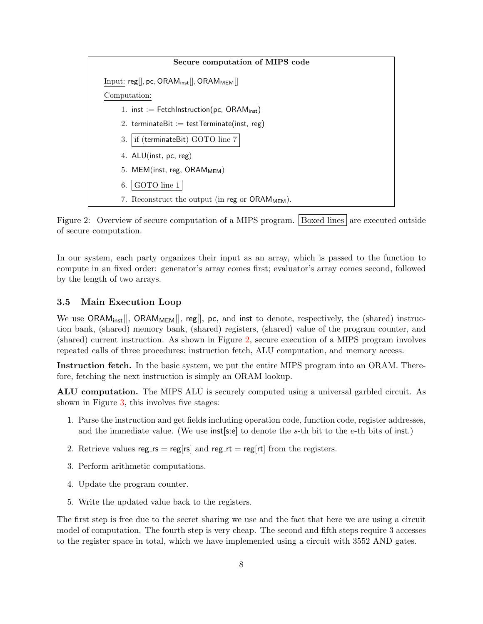<span id="page-7-1"></span>

Figure 2: Overview of secure computation of a MIPS program. Boxed lines are executed outside of secure computation.

In our system, each party organizes their input as an array, which is passed to the function to compute in an fixed order: generator's array comes first; evaluator's array comes second, followed by the length of two arrays.

#### <span id="page-7-0"></span>3.5 Main Execution Loop

We use  $ORAM_{inst}$ ,  $ORAM_{MEM}$ , reg,  $p$ c, and inst to denote, respectively, the (shared) instruction bank, (shared) memory bank, (shared) registers, (shared) value of the program counter, and (shared) current instruction. As shown in Figure [2,](#page-7-1) secure execution of a MIPS program involves repeated calls of three procedures: instruction fetch, ALU computation, and memory access.

Instruction fetch. In the basic system, we put the entire MIPS program into an ORAM. Therefore, fetching the next instruction is simply an ORAM lookup.

ALU computation. The MIPS ALU is securely computed using a universal garbled circuit. As shown in Figure [3,](#page-8-1) this involves five stages:

- 1. Parse the instruction and get fields including operation code, function code, register addresses, and the immediate value. (We use inst[s:e] to denote the s-th bit to the e-th bits of inst.)
- 2. Retrieve values reg\_rs = reg[rs] and reg\_rt = reg[rt] from the registers.
- 3. Perform arithmetic computations.
- 4. Update the program counter.
- 5. Write the updated value back to the registers.

The first step is free due to the secret sharing we use and the fact that here we are using a circuit model of computation. The fourth step is very cheap. The second and fifth steps require 3 accesses to the register space in total, which we have implemented using a circuit with 3552 AND gates.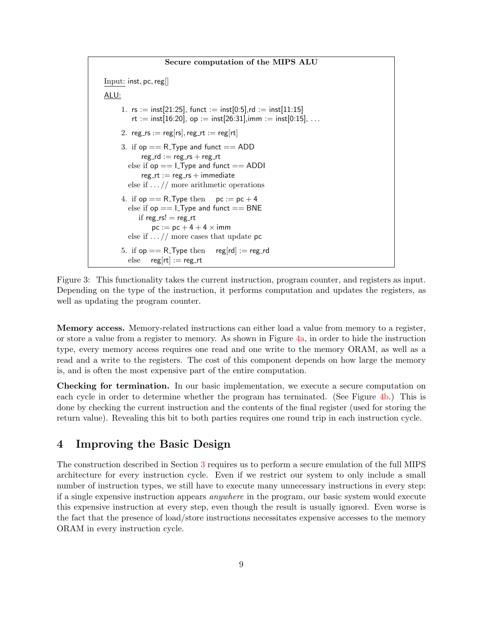```
Secure computation of the MIPS ALU
Input: inst, pc,reg[]
ALU:
     1. rs := inst[21:25], funct := inst[0:5], rd := inst[11:15]rt := inst[16:20], op := inst[26:31], imm := inst[0:15], ...
     2. reg_rs := reg[rs], reg_rt := reg[rt]
     3. if op == R<sub>-Type and funct</sub> == ADD
           reg\_rd := reg\_rs + reg\_rtelse if op == l_Type and funct == ADDI
           reg-rt := reg_rs + immediate
       else if \ldots // more arithmetic operations
     4. if op == R-Type then pc := pc + 4else if op == l_Type and funct == BNE
          if reg_rs! = reg_rt
              pc := pc + 4 + 4 \times immelse if \dots // more cases that update pc
     5. if op == R-Type then reg[rd] := reg_rd
       else reg[rt] := reg_rt
```
Figure 3: This functionality takes the current instruction, program counter, and registers as input. Depending on the type of the instruction, it performs computation and updates the registers, as well as updating the program counter.

Memory access. Memory-related instructions can either load a value from memory to a register, or store a value from a register to memory. As shown in Figure [4a,](#page-9-0) in order to hide the instruction type, every memory access requires one read and one write to the memory ORAM, as well as a read and a write to the registers. The cost of this component depends on how large the memory is, and is often the most expensive part of the entire computation.

Checking for termination. In our basic implementation, we execute a secure computation on each cycle in order to determine whether the program has terminated. (See Figure [4b.](#page-9-0)) This is done by checking the current instruction and the contents of the final register (used for storing the return value). Revealing this bit to both parties requires one round trip in each instruction cycle.

### <span id="page-8-0"></span>4 Improving the Basic Design

The construction described in Section [3](#page-4-2) requires us to perform a secure emulation of the full MIPS architecture for every instruction cycle. Even if we restrict our system to only include a small number of instruction types, we still have to execute many unnecessary instructions in every step: if a single expensive instruction appears anywhere in the program, our basic system would execute this expensive instruction at every step, even though the result is usually ignored. Even worse is the fact that the presence of load/store instructions necessitates expensive accesses to the memory ORAM in every instruction cycle.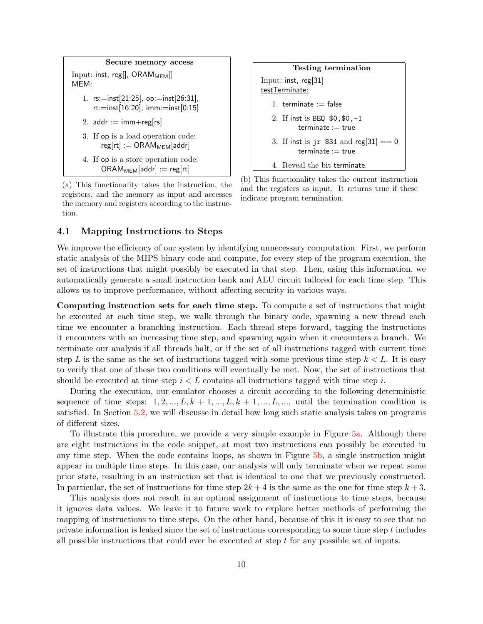<span id="page-9-0"></span>Secure memory access Input: inst, reg[],  $ORAM_{MEM}$ MEM: 1.  $rs:=inst[21:25]$ ,  $op:=inst[26:31]$ , rt:=inst[16:20], imm:=inst[0:15] 2. addr  $:=$  imm+reg[rs] 3. If op is a load operation code:  $reg[rt] := ORAM_{MEM}[addr]$ 4. If op is a store operation code:  $ORAM_{MEM}[addr] := reg[rt]$ 

(a) This functionality takes the instruction, the registers, and the memory as input and accesses the memory and registers according to the instruction.



(b) This functionality takes the current instruction and the registers as input. It returns true if these indicate program termination.

#### <span id="page-9-1"></span>4.1 Mapping Instructions to Steps

We improve the efficiency of our system by identifying unnecessary computation. First, we perform static analysis of the MIPS binary code and compute, for every step of the program execution, the set of instructions that might possibly be executed in that step. Then, using this information, we automatically generate a small instruction bank and ALU circuit tailored for each time step. This allows us to improve performance, without affecting security in various ways.

Computing instruction sets for each time step. To compute a set of instructions that might be executed at each time step, we walk through the binary code, spawning a new thread each time we encounter a branching instruction. Each thread steps forward, tagging the instructions it encounters with an increasing time step, and spawning again when it encounters a branch. We terminate our analysis if all threads halt, or if the set of all instructions tagged with current time step L is the same as the set of instructions tagged with some previous time step  $k < L$ . It is easy to verify that one of these two conditions will eventually be met. Now, the set of instructions that should be executed at time step  $i < L$  contains all instructions tagged with time step i.

During the execution, our emulator chooses a circuit according to the following deterministic sequence of time steps:  $1, 2, ..., L, k + 1, ..., L, k + 1, ..., L, ...,$  until the termination condition is satisfied. In Section [5.2,](#page-13-0) we will discusse in detail how long such static analysis takes on programs of different sizes.

To illustrate this procedure, we provide a very simple example in Figure [5a.](#page-10-0) Although there are eight instructions in the code snippet, at most two instructions can possibly be executed in any time step. When the code contains loops, as shown in Figure [5b,](#page-10-0) a single instruction might appear in multiple time steps. In this case, our analysis will only terminate when we repeat some prior state, resulting in an instruction set that is identical to one that we previously constructed. In particular, the set of instructions for time step  $2k + 4$  is the same as the one for time step  $k + 3$ .

This analysis does not result in an optimal assignment of instructions to time steps, because it ignores data values. We leave it to future work to explore better methods of performing the mapping of instructions to time steps. On the other hand, because of this it is easy to see that no private information is leaked since the set of instructions corresponding to some time step t includes all possible instructions that could ever be executed at step t for any possible set of inputs.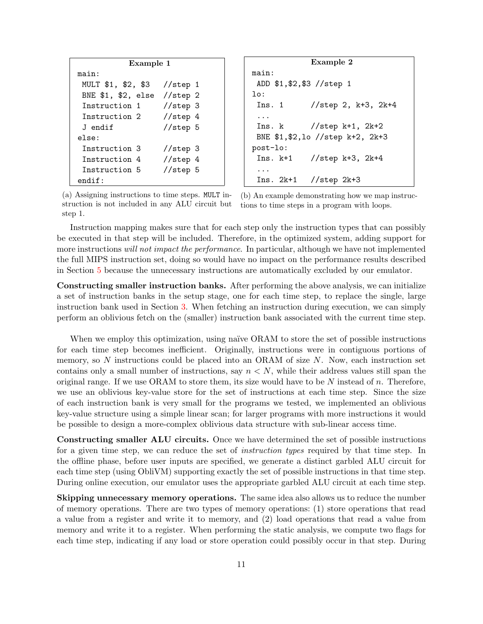<span id="page-10-0"></span>

| Example 1          |             |  |  |  |  |  |  |  |
|--------------------|-------------|--|--|--|--|--|--|--|
| main:              |             |  |  |  |  |  |  |  |
| MULT \$1, \$2, \$3 | $//$ step 1 |  |  |  |  |  |  |  |
| BNE \$1, \$2, else | $//$ step 2 |  |  |  |  |  |  |  |
| Instruction 1      | //step 3    |  |  |  |  |  |  |  |
| Instruction 2      | //step 4    |  |  |  |  |  |  |  |
| J endif            | //step 5    |  |  |  |  |  |  |  |
| else:              |             |  |  |  |  |  |  |  |
| Instruction 3      | //step 3    |  |  |  |  |  |  |  |
| Instruction 4      | //step 4    |  |  |  |  |  |  |  |
| Instruction 5      | //step 5    |  |  |  |  |  |  |  |
| endif:             |             |  |  |  |  |  |  |  |

```
Example 2
main:
 ADD $1,$2,$3 //step 1
lo:
 Ins. 1 //step 2, k+3, 2k+4
 ...
 Ins. k //step k+1, 2k+2
BNE $1,$2,lo //step k+2, 2k+3
post-lo:
 Ins. k+1 //step k+3, 2k+4
 ...
 Ins. 2k+1 //step 2k+3
```
(a) Assigning instructions to time steps. MULT instruction is not included in any ALU circuit but step 1.

(b) An example demonstrating how we map instructions to time steps in a program with loops.

Instruction mapping makes sure that for each step only the instruction types that can possibly be executed in that step will be included. Therefore, in the optimized system, adding support for more instructions will not impact the performance. In particular, although we have not implemented the full MIPS instruction set, doing so would have no impact on the performance results described in Section [5](#page-12-1) because the unnecessary instructions are automatically excluded by our emulator.

Constructing smaller instruction banks. After performing the above analysis, we can initialize a set of instruction banks in the setup stage, one for each time step, to replace the single, large instruction bank used in Section [3.](#page-4-2) When fetching an instruction during execution, we can simply perform an oblivious fetch on the (smaller) instruction bank associated with the current time step.

When we employ this optimization, using naïve ORAM to store the set of possible instructions for each time step becomes inefficient. Originally, instructions were in contiguous portions of memory, so  $N$  instructions could be placed into an ORAM of size  $N$ . Now, each instruction set contains only a small number of instructions, say  $n < N$ , while their address values still span the original range. If we use ORAM to store them, its size would have to be N instead of n. Therefore, we use an oblivious key-value store for the set of instructions at each time step. Since the size of each instruction bank is very small for the programs we tested, we implemented an oblivious key-value structure using a simple linear scan; for larger programs with more instructions it would be possible to design a more-complex oblivious data structure with sub-linear access time.

Constructing smaller ALU circuits. Once we have determined the set of possible instructions for a given time step, we can reduce the set of *instruction types* required by that time step. In the offline phase, before user inputs are specified, we generate a distinct garbled ALU circuit for each time step (using ObliVM) supporting exactly the set of possible instructions in that time step. During online execution, our emulator uses the appropriate garbled ALU circuit at each time step.

Skipping unnecessary memory operations. The same idea also allows us to reduce the number of memory operations. There are two types of memory operations: (1) store operations that read a value from a register and write it to memory, and (2) load operations that read a value from memory and write it to a register. When performing the static analysis, we compute two flags for each time step, indicating if any load or store operation could possibly occur in that step. During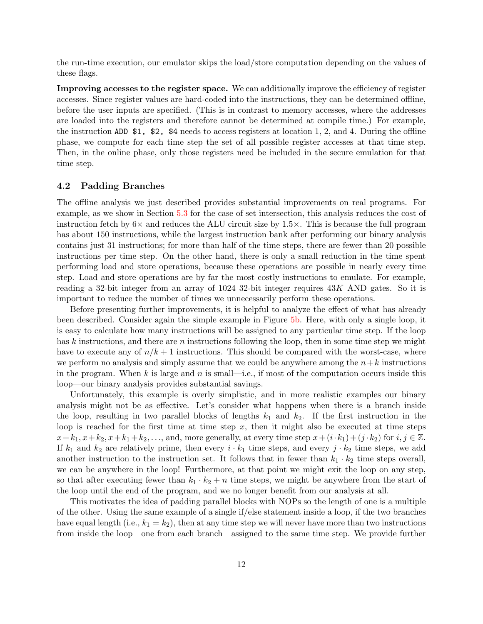the run-time execution, our emulator skips the load/store computation depending on the values of these flags.

Improving accesses to the register space. We can additionally improve the efficiency of register accesses. Since register values are hard-coded into the instructions, they can be determined offline, before the user inputs are specified. (This is in contrast to memory accesses, where the addresses are loaded into the registers and therefore cannot be determined at compile time.) For example, the instruction ADD \$1, \$2, \$4 needs to access registers at location 1, 2, and 4. During the offline phase, we compute for each time step the set of all possible register accesses at that time step. Then, in the online phase, only those registers need be included in the secure emulation for that time step.

#### <span id="page-11-0"></span>4.2 Padding Branches

The offline analysis we just described provides substantial improvements on real programs. For example, as we show in Section [5.3](#page-13-1) for the case of set intersection, this analysis reduces the cost of instruction fetch by  $6\times$  and reduces the ALU circuit size by  $1.5\times$ . This is because the full program has about 150 instructions, while the largest instruction bank after performing our binary analysis contains just 31 instructions; for more than half of the time steps, there are fewer than 20 possible instructions per time step. On the other hand, there is only a small reduction in the time spent performing load and store operations, because these operations are possible in nearly every time step. Load and store operations are by far the most costly instructions to emulate. For example, reading a 32-bit integer from an array of  $1024$  32-bit integer requires  $43K$  AND gates. So it is important to reduce the number of times we unnecessarily perform these operations.

Before presenting further improvements, it is helpful to analyze the effect of what has already been described. Consider again the simple example in Figure [5b.](#page-10-0) Here, with only a single loop, it is easy to calculate how many instructions will be assigned to any particular time step. If the loop has k instructions, and there are n instructions following the loop, then in some time step we might have to execute any of  $n/k+1$  instructions. This should be compared with the worst-case, where we perform no analysis and simply assume that we could be anywhere among the  $n+k$  instructions in the program. When k is large and n is small—i.e., if most of the computation occurs inside this loop—our binary analysis provides substantial savings.

Unfortunately, this example is overly simplistic, and in more realistic examples our binary analysis might not be as effective. Let's consider what happens when there is a branch inside the loop, resulting in two parallel blocks of lengths  $k_1$  and  $k_2$ . If the first instruction in the loop is reached for the first time at time step x, then it might also be executed at time steps  $x+k_1, x+k_2, x+k_1+k_2, \ldots$ , and, more generally, at every time step  $x+(i\cdot k_1)+(j\cdot k_2)$  for  $i, j \in \mathbb{Z}$ . If  $k_1$  and  $k_2$  are relatively prime, then every  $i \cdot k_1$  time steps, and every  $j \cdot k_2$  time steps, we add another instruction to the instruction set. It follows that in fewer than  $k_1 \cdot k_2$  time steps overall, we can be anywhere in the loop! Furthermore, at that point we might exit the loop on any step, so that after executing fewer than  $k_1 \cdot k_2 + n$  time steps, we might be anywhere from the start of the loop until the end of the program, and we no longer benefit from our analysis at all.

This motivates the idea of padding parallel blocks with NOPs so the length of one is a multiple of the other. Using the same example of a single if/else statement inside a loop, if the two branches have equal length (i.e.,  $k_1 = k_2$ ), then at any time step we will never have more than two instructions from inside the loop—one from each branch—assigned to the same time step. We provide further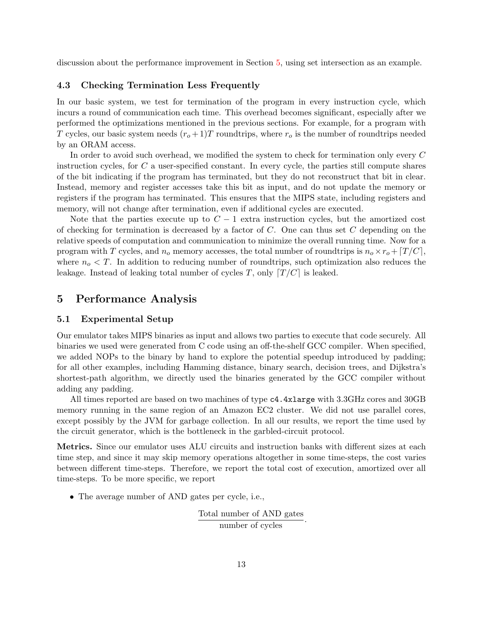discussion about the performance improvement in Section [5,](#page-12-1) using set intersection as an example.

#### <span id="page-12-0"></span>4.3 Checking Termination Less Frequently

In our basic system, we test for termination of the program in every instruction cycle, which incurs a round of communication each time. This overhead becomes significant, especially after we performed the optimizations mentioned in the previous sections. For example, for a program with T cycles, our basic system needs  $(r_o+1)T$  roundtrips, where  $r_o$  is the number of roundtrips needed by an ORAM access.

In order to avoid such overhead, we modified the system to check for termination only every C instruction cycles, for C a user-specified constant. In every cycle, the parties still compute shares of the bit indicating if the program has terminated, but they do not reconstruct that bit in clear. Instead, memory and register accesses take this bit as input, and do not update the memory or registers if the program has terminated. This ensures that the MIPS state, including registers and memory, will not change after termination, even if additional cycles are executed.

Note that the parties execute up to  $C - 1$  extra instruction cycles, but the amortized cost of checking for termination is decreased by a factor of  $C$ . One can thus set  $C$  depending on the relative speeds of computation and communication to minimize the overall running time. Now for a program with T cycles, and  $n_o$  memory accesses, the total number of roundtrips is  $n_o \times r_o + T /C$ , where  $n<sub>o</sub> < T$ . In addition to reducing number of roundtrips, such optimization also reduces the leakage. Instead of leaking total number of cycles T, only  $[T / C]$  is leaked.

### <span id="page-12-1"></span>5 Performance Analysis

#### 5.1 Experimental Setup

Our emulator takes MIPS binaries as input and allows two parties to execute that code securely. All binaries we used were generated from C code using an off-the-shelf GCC compiler. When specified, we added NOPs to the binary by hand to explore the potential speedup introduced by padding; for all other examples, including Hamming distance, binary search, decision trees, and Dijkstra's shortest-path algorithm, we directly used the binaries generated by the GCC compiler without adding any padding.

All times reported are based on two machines of type c4.4xlarge with 3.3GHz cores and 30GB memory running in the same region of an Amazon EC2 cluster. We did not use parallel cores, except possibly by the JVM for garbage collection. In all our results, we report the time used by the circuit generator, which is the bottleneck in the garbled-circuit protocol.

Metrics. Since our emulator uses ALU circuits and instruction banks with different sizes at each time step, and since it may skip memory operations altogether in some time-steps, the cost varies between different time-steps. Therefore, we report the total cost of execution, amortized over all time-steps. To be more specific, we report

• The average number of AND gates per cycle, i.e.,

Total number of AND gates number of cycles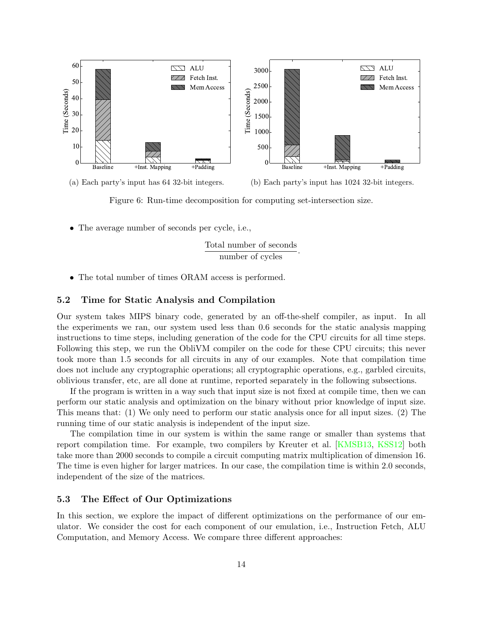<span id="page-13-2"></span>



(b) Each party's input has 1024 32-bit integers.

Figure 6: Run-time decomposition for computing set-intersection size.

• The average number of seconds per cycle, i.e.,

Total number of seconds number of cycles .

• The total number of times ORAM access is performed.

#### <span id="page-13-0"></span>5.2 Time for Static Analysis and Compilation

Our system takes MIPS binary code, generated by an off-the-shelf compiler, as input. In all the experiments we ran, our system used less than 0.6 seconds for the static analysis mapping instructions to time steps, including generation of the code for the CPU circuits for all time steps. Following this step, we run the ObliVM compiler on the code for these CPU circuits; this never took more than 1.5 seconds for all circuits in any of our examples. Note that compilation time does not include any cryptographic operations; all cryptographic operations, e.g., garbled circuits, oblivious transfer, etc, are all done at runtime, reported separately in the following subsections.

If the program is written in a way such that input size is not fixed at compile time, then we can perform our static analysis and optimization on the binary without prior knowledge of input size. This means that: (1) We only need to perform our static analysis once for all input sizes. (2) The running time of our static analysis is independent of the input size.

The compilation time in our system is within the same range or smaller than systems that report compilation time. For example, two compilers by Kreuter et al. [\[KMSB13,](#page-21-7) [KSS12\]](#page-21-4) both take more than 2000 seconds to compile a circuit computing matrix multiplication of dimension 16. The time is even higher for larger matrices. In our case, the compilation time is within 2.0 seconds, independent of the size of the matrices.

#### <span id="page-13-1"></span>5.3 The Effect of Our Optimizations

In this section, we explore the impact of different optimizations on the performance of our emulator. We consider the cost for each component of our emulation, i.e., Instruction Fetch, ALU Computation, and Memory Access. We compare three different approaches: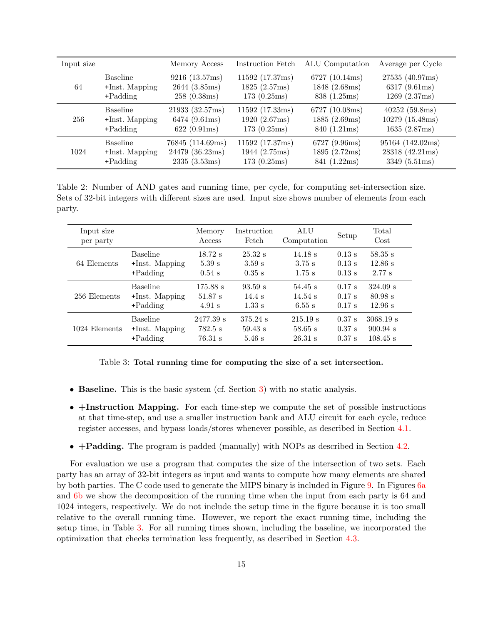<span id="page-14-1"></span>

| Input size |                   | Memory Access    | Instruction Fetch | ALU Computation | Average per Cycle |
|------------|-------------------|------------------|-------------------|-----------------|-------------------|
| 64         | Baseline          | 9216 (13.57ms)   | 11592 (17.37ms)   | 6727 (10.14ms)  | 27535 (40.97ms)   |
|            | $+$ Inst. Mapping | 2644 (3.85ms)    | 1825 (2.57ms)     | 1848 (2.68ms)   | 6317(9.61ms)      |
|            | $+$ Padding       | 258(0.38ms)      | 173(0.25ms)       | 838 (1.25ms)    | 1269(2.37ms)      |
| 256        | <b>Baseline</b>   | 21933 (32.57ms)  | 11592 (17.33ms)   | 6727 (10.08ms)  | 40252(59.8ms)     |
|            | $+$ Inst. Mapping | 6474 (9.61ms)    | 1920 (2.67ms)     | 1885 (2.69ms)   | 10279 (15.48ms)   |
|            | $+$ Padding       | 622(0.91ms)      | 173(0.25ms)       | 840 (1.21ms)    | 1635 (2.87ms)     |
| 1024       | <b>Baseline</b>   | 76845 (114.69ms) | 11592(17.37ms)    | 6727 (9.96ms)   | 95164 (142.02ms)  |
|            | $+$ Inst. Mapping | 24479 (36.23ms)  | 1944 (2.75ms)     | 1895 (2.72ms)   | 28318 (42.21ms)   |
|            | $+$ Padding       | 2335(3.53ms)     | 173(0.25ms)       | 841 (1.22ms)    | 3349 (5.51ms)     |

Table 2: Number of AND gates and running time, per cycle, for computing set-intersection size. Sets of 32-bit integers with different sizes are used. Input size shows number of elements from each party.

<span id="page-14-0"></span>

| Input size<br>per party |                   | Memory<br>Access | Instruction<br>Fetch | ALU<br>Computation | Setup    | Total<br>Cost |
|-------------------------|-------------------|------------------|----------------------|--------------------|----------|---------------|
| 64 Elements             | <b>Baseline</b>   | $18.72$ s        | $25.32 \text{ s}$    | 14.18 s            | $0.13$ s | $58.35$ s     |
|                         | $+$ Inst. Mapping | $5.39 \text{ s}$ | 3.59 s               | $3.75$ s           | $0.13$ s | $12.86$ s     |
|                         | $+$ Padding       | $0.54$ s         | $0.35$ s             | $1.75$ s           | $0.13$ s | $2.77$ s      |
| 256 Elements            | <b>Baseline</b>   | $175.88$ s       | $93.59 \text{ s}$    | $54.45$ s          | $0.17$ s | $324.09$ s    |
|                         | $+$ Inst. Mapping | $51.87$ s        | 14.4 s               | $14.54$ s          | $0.17$ s | $80.98$ s     |
|                         | $+$ Padding       | $4.91$ s         | $1.33 \mathrm{s}$    | 6.55 s             | $0.17$ s | 12.96 s       |
| 1024 Elements           | <b>Baseline</b>   | 2477.39 s        | $375.24$ s           | 215.19 s           | $0.37$ s | 3068.19 s     |
|                         | $+$ Inst. Mapping | $782.5$ s        | $59.43 \text{ s}$    | $58.65$ s          | $0.37$ s | $900.94$ s    |
|                         | $+$ Padding       | $76.31$ s        | $5.46$ s             | $26.31$ s          | $0.37$ s | $108.45$ s    |

Table 3: Total running time for computing the size of a set intersection.

- Baseline. This is the basic system (cf. Section [3\)](#page-4-2) with no static analysis.
- $\text{H}\text{a}$  +Instruction Mapping. For each time-step we compute the set of possible instructions at that time-step, and use a smaller instruction bank and ALU circuit for each cycle, reduce register accesses, and bypass loads/stores whenever possible, as described in Section [4.1.](#page-9-1)
- +Padding. The program is padded (manually) with NOPs as described in Section [4.2.](#page-11-0)

For evaluation we use a program that computes the size of the intersection of two sets. Each party has an array of 32-bit integers as input and wants to compute how many elements are shared by both parties. The C code used to generate the MIPS binary is included in Figure [9.](#page-23-0) In Figures [6a](#page-13-2) and [6b](#page-13-2) we show the decomposition of the running time when the input from each party is 64 and 1024 integers, respectively. We do not include the setup time in the figure because it is too small relative to the overall running time. However, we report the exact running time, including the setup time, in Table [3.](#page-14-0) For all running times shown, including the baseline, we incorporated the optimization that checks termination less frequently, as described in Section [4.3.](#page-12-0)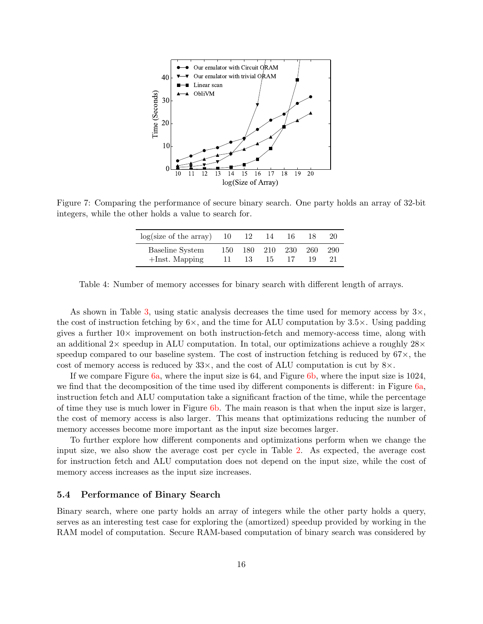<span id="page-15-1"></span>

<span id="page-15-2"></span>Figure 7: Comparing the performance of secure binary search. One party holds an array of 32-bit integers, while the other holds a value to search for.

| log(size of the array)                      | $\sim$ 10 |            | -14        | 16  | 18        | 20  |
|---------------------------------------------|-----------|------------|------------|-----|-----------|-----|
| <b>Baseline System</b><br>$+$ Inst. Mapping | 150.      | 180.<br>13 | 210<br>15. | 230 | 260<br>19 | 290 |

Table 4: Number of memory accesses for binary search with different length of arrays.

As shown in Table [3,](#page-14-0) using static analysis decreases the time used for memory access by  $3\times$ , the cost of instruction fetching by  $6\times$ , and the time for ALU computation by  $3.5\times$ . Using padding gives a further  $10\times$  improvement on both instruction-fetch and memory-access time, along with an additional  $2\times$  speedup in ALU computation. In total, our optimizations achieve a roughly  $28\times$ speedup compared to our baseline system. The cost of instruction fetching is reduced by  $67\times$ , the cost of memory access is reduced by  $33\times$ , and the cost of ALU computation is cut by  $8\times$ .

If we compare Figure [6a,](#page-13-2) where the input size is 64, and Figure [6b,](#page-13-2) where the input size is 1024, we find that the decomposition of the time used iby different components is different: in Figure [6a,](#page-13-2) instruction fetch and ALU computation take a significant fraction of the time, while the percentage of time they use is much lower in Figure [6b.](#page-13-2) The main reason is that when the input size is larger, the cost of memory access is also larger. This means that optimizations reducing the number of memory accesses become more important as the input size becomes larger.

To further explore how different components and optimizations perform when we change the input size, we also show the average cost per cycle in Table [2.](#page-14-1) As expected, the average cost for instruction fetch and ALU computation does not depend on the input size, while the cost of memory access increases as the input size increases.

#### <span id="page-15-0"></span>5.4 Performance of Binary Search

Binary search, where one party holds an array of integers while the other party holds a query, serves as an interesting test case for exploring the (amortized) speedup provided by working in the RAM model of computation. Secure RAM-based computation of binary search was considered by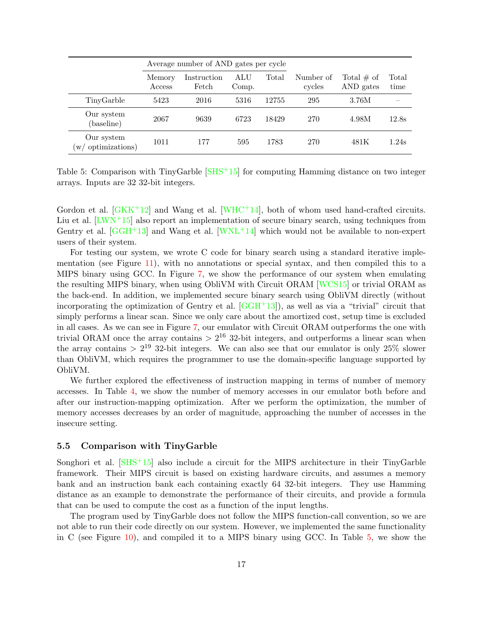<span id="page-16-0"></span>

|                                    |                  | Average number of AND gates per cycle |                     |       |                     |                            |               |
|------------------------------------|------------------|---------------------------------------|---------------------|-------|---------------------|----------------------------|---------------|
|                                    | Memory<br>Access | Instruction<br>Fetch                  | $\rm{ALU}$<br>Comp. | Total | Number of<br>cycles | Total $\#$ of<br>AND gates | Total<br>time |
| TinyGarble                         | 5423             | 2016                                  | 5316                | 12755 | 295                 | 3.76M                      |               |
| Our system<br>(baseline)           | 2067             | 9639                                  | 6723                | 18429 | 270                 | 4.98M                      | 12.8s         |
| Our system<br>optimizations)<br>W/ | 1011             | 177                                   | 595                 | 1783  | 270                 | 481K                       | 1.24s         |

Table 5: Comparison with TinyGarble  $[SHS^+15]$  $[SHS^+15]$  for computing Hamming distance on two integer arrays. Inputs are 32 32-bit integers.

Gordon et al.  $\left[\frac{GKK^+12}{GKK^+12}\right]$  and Wang et al.  $\left[\frac{WHC^+14}{GKK^+14}\right]$ , both of whom used hand-crafted circuits. Liu et al.  $[LWN<sup>+</sup>15]$  $[LWN<sup>+</sup>15]$  also report an implementation of secure binary search, using techniques from Gentry et al.  $[GGH<sup>+</sup>13]$  $[GGH<sup>+</sup>13]$  and Wang et al.  $[WNL<sup>+</sup>14]$  $[WNL<sup>+</sup>14]$  which would not be available to non-expert users of their system.

For testing our system, we wrote C code for binary search using a standard iterative implementation (see Figure [11\)](#page-24-0), with no annotations or special syntax, and then compiled this to a MIPS binary using GCC. In Figure [7,](#page-15-1) we show the performance of our system when emulating the resulting MIPS binary, when using ObliVM with Circuit ORAM [\[WCS15\]](#page-22-5) or trivial ORAM as the back-end. In addition, we implemented secure binary search using ObliVM directly (without incorporating the optimization of Gentry et al.  $[GGH<sup>+13</sup>]$  $[GGH<sup>+13</sup>]$ , as well as via a "trivial" circuit that simply performs a linear scan. Since we only care about the amortized cost, setup time is excluded in all cases. As we can see in Figure [7,](#page-15-1) our emulator with Circuit ORAM outperforms the one with trivial ORAM once the array contains  $> 2^{16}$  32-bit integers, and outperforms a linear scan when the array contains  $> 2^{19}$  32-bit integers. We can also see that our emulator is only 25% slower than ObliVM, which requires the programmer to use the domain-specific language supported by ObliVM.

We further explored the effectiveness of instruction mapping in terms of number of memory accesses. In Table [4,](#page-15-2) we show the number of memory accesses in our emulator both before and after our instruction-mapping optimization. After we perform the optimization, the number of memory accesses decreases by an order of magnitude, approaching the number of accesses in the insecure setting.

#### 5.5 Comparison with TinyGarble

Songhori et al.  $[SHS^+15]$  $[SHS^+15]$  also include a circuit for the MIPS architecture in their TinyGarble framework. Their MIPS circuit is based on existing hardware circuits, and assumes a memory bank and an instruction bank each containing exactly 64 32-bit integers. They use Hamming distance as an example to demonstrate the performance of their circuits, and provide a formula that can be used to compute the cost as a function of the input lengths.

The program used by TinyGarble does not follow the MIPS function-call convention, so we are not able to run their code directly on our system. However, we implemented the same functionality in C (see Figure [10\)](#page-23-1), and compiled it to a MIPS binary using GCC. In Table [5,](#page-16-0) we show the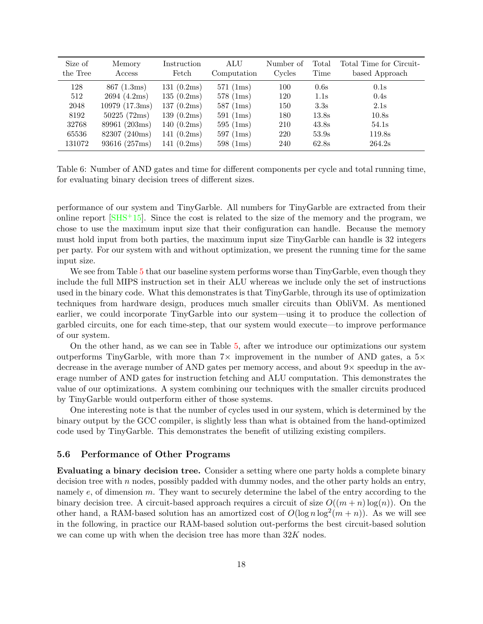<span id="page-17-0"></span>

| Size of<br>the Tree | Memory<br>Access | Instruction<br>Fetch | $\mathop{\mathrm{ALU}}$<br>Computation | Number of<br>Cycles | Total<br>Time | Total Time for Circuit-<br>based Approach |
|---------------------|------------------|----------------------|----------------------------------------|---------------------|---------------|-------------------------------------------|
| 128                 | 867(1.3)         | 131(0.2ms)           | 571~(1ms)                              | 100                 | 0.6s          | 0.1s                                      |
| 512                 | 2694(4.2ms)      | 135(0.2ms)           | 578~(1ms)                              | 120                 | 1.1s          | 0.4s                                      |
| 2048                | 10979(17.3ms)    | 137(0.2ms)           | $587 \; (1ms)$                         | 150                 | 3.3s          | 2.1s                                      |
| 8192                | 50225(72ms)      | 139(0.2ms)           | $591 \; (1ms)$                         | 180                 | 13.8s         | 10.8s                                     |
| 32768               | 89961 (203ms)    | 140(0.2ms)           | $595 \; (1ms)$                         | 210                 | 43.8s         | 54.1s                                     |
| 65536               | 82307 (240ms)    | 141(0.2ms)           | $597 \; (1ms)$                         | 220                 | 53.9s         | 119.8s                                    |
| 131072              | 93616 (257ms)    | 141(0.2ms)           | 598~(1ms)                              | 240                 | 62.8s         | 264.2s                                    |

Table 6: Number of AND gates and time for different components per cycle and total running time, for evaluating binary decision trees of different sizes.

performance of our system and TinyGarble. All numbers for TinyGarble are extracted from their online report  $\left[\text{SHS}^{+15}\right]$ . Since the cost is related to the size of the memory and the program, we chose to use the maximum input size that their configuration can handle. Because the memory must hold input from both parties, the maximum input size TinyGarble can handle is 32 integers per party. For our system with and without optimization, we present the running time for the same input size.

We see from Table [5](#page-16-0) that our baseline system performs worse than TinyGarble, even though they include the full MIPS instruction set in their ALU whereas we include only the set of instructions used in the binary code. What this demonstrates is that TinyGarble, through its use of optimization techniques from hardware design, produces much smaller circuits than ObliVM. As mentioned earlier, we could incorporate TinyGarble into our system—using it to produce the collection of garbled circuits, one for each time-step, that our system would execute—to improve performance of our system.

On the other hand, as we can see in Table [5,](#page-16-0) after we introduce our optimizations our system outperforms TinyGarble, with more than  $7\times$  improvement in the number of AND gates, a  $5\times$ decrease in the average number of AND gates per memory access, and about  $9\times$  speedup in the average number of AND gates for instruction fetching and ALU computation. This demonstrates the value of our optimizations. A system combining our techniques with the smaller circuits produced by TinyGarble would outperform either of those systems.

One interesting note is that the number of cycles used in our system, which is determined by the binary output by the GCC compiler, is slightly less than what is obtained from the hand-optimized code used by TinyGarble. This demonstrates the benefit of utilizing existing compilers.

### 5.6 Performance of Other Programs

Evaluating a binary decision tree. Consider a setting where one party holds a complete binary decision tree with  $n$  nodes, possibly padded with dummy nodes, and the other party holds an entry, namely e, of dimension m. They want to securely determine the label of the entry according to the binary decision tree. A circuit-based approach requires a circuit of size  $O((m+n) \log(n))$ . On the other hand, a RAM-based solution has an amortized cost of  $O(\log n \log^2(m+n))$ . As we will see in the following, in practice our RAM-based solution out-performs the best circuit-based solution we can come up with when the decision tree has more than  $32K$  nodes.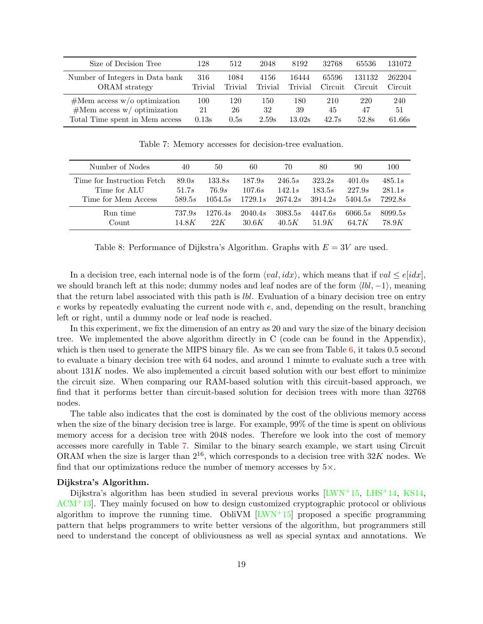<span id="page-18-0"></span>

| Size of Decision Tree           | 128     | 512            | 2048    | 8192    | 32768   | 65536   | 131072  |
|---------------------------------|---------|----------------|---------|---------|---------|---------|---------|
| Number of Integers in Data bank | 316     | 1084           | 4156    | 16444   | 65596   | 131132  | 262204  |
| ORAM strategy                   | Trivial | <b>Trivial</b> | Trivial | Trivial | Circuit | Circuit | Circuit |
| $#Mem$ access w/o optimization  | 100     | 120            | 150     | 180     | 210     | 220     | 240     |
| $#Mem$ access w/ optimization   | 21      | 26             | 32      | 39      | 45      | 47      | 51      |
| Total Time spent in Mem access  | 0.13s   | 0.5s           | 2.59s   | 13.02s  | 42.7s   | 52.8s   | 61.66s  |

Table 7: Memory accesses for decision-tree evaluation.

<span id="page-18-1"></span>

| Number of Nodes            | 40             | 50              | 60      | 70      | 80            | 90      | 100     |
|----------------------------|----------------|-----------------|---------|---------|---------------|---------|---------|
| Time for Instruction Fetch | 89.0s          | 133.8 <i>s</i>  | 187.9s  | 246.5s  | 323.2s        | 401.0s  | 485.1s  |
| Time for ALU               | 51.7s          | 76.9s           | 107.6s  | 142.1s  | 183.5s        | 227.9s  | 281.1s  |
| Time for Mem Access        | 589.5s         | 1054.5s         | 1729.1s | 2674.2s | 3914.2s       | 5404.5s | 7292.8s |
| Run time                   | 737.9 <i>s</i> | 1276.4 <i>s</i> | 2040.4s | 3083.5s | 4447.6s       | 6066.5s | 8099.5s |
| Count                      | 14.8K          | 22 K            | 30.6K   | 40.5K   | 51 9 <i>K</i> | 64 7 K  | 78.9K   |

Table 8: Performance of Dijkstra's Algorithm. Graphs with  $E = 3V$  are used.

In a decision tree, each internal node is of the form  $\langle val, idx \rangle$ , which means that if  $val \leq e[idx]$ , we should branch left at this node; dummy nodes and leaf nodes are of the form  $\langle lb, -1 \rangle$ , meaning that the return label associated with this path is *lbl*. Evaluation of a binary decision tree on entry  $e$  works by repeatedly evaluating the current node with  $e$ , and, depending on the result, branching left or right, until a dummy node or leaf node is reached.

In this experiment, we fix the dimension of an entry as 20 and vary the size of the binary decision tree. We implemented the above algorithm directly in C (code can be found in the Appendix), which is then used to generate the MIPS binary file. As we can see from Table  $6$ , it takes 0.5 second to evaluate a binary decision tree with 64 nodes, and around 1 minute to evaluate such a tree with about  $131K$  nodes. We also implemented a circuit based solution with our best effort to minimize the circuit size. When comparing our RAM-based solution with this circuit-based approach, we find that it performs better than circuit-based solution for decision trees with more than 32768 nodes.

The table also indicates that the cost is dominated by the cost of the oblivious memory access when the size of the binary decision tree is large. For example, 99% of the time is spent on oblivious memory access for a decision tree with 2048 nodes. Therefore we look into the cost of memory accesses more carefully in Table [7.](#page-18-0) Similar to the binary search example, we start using Circuit ORAM when the size is larger than  $2^{16}$ , which corresponds to a decision tree with  $32K$  nodes. We find that our optimizations reduce the number of memory accesses by  $5\times$ .

#### Dijkstra's Algorithm.

Dijkstra's algorithm has been studied in several previous works  $[LWN<sup>+15</sup>, LHS<sup>+14</sup>, KS14,$  $[LWN<sup>+15</sup>, LHS<sup>+14</sup>, KS14,$  $[LWN<sup>+15</sup>, LHS<sup>+14</sup>, KS14,$  $[LWN<sup>+15</sup>, LHS<sup>+14</sup>, KS14,$  $[LWN<sup>+15</sup>, LHS<sup>+14</sup>, KS14,$ [ACM](#page-20-7)+13]. They mainly focused on how to design customized cryptographic protocol or oblivious algorithm to improve the running time. ObliVM  $[LWN+15]$  $[LWN+15]$  proposed a specific programming pattern that helps programmers to write better versions of the algorithm, but programmers still need to understand the concept of obliviousness as well as special syntax and annotations. We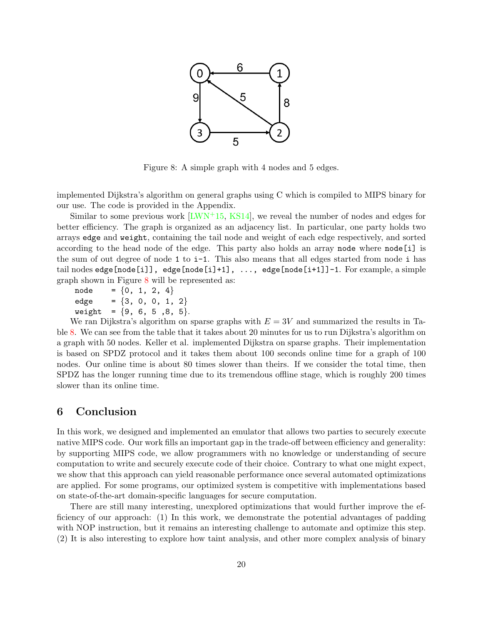<span id="page-19-0"></span>

Figure 8: A simple graph with 4 nodes and 5 edges.

implemented Dijkstra's algorithm on general graphs using C which is compiled to MIPS binary for our use. The code is provided in the Appendix.

Similar to some previous work [\[LWN](#page-21-9)+15, [KS14\]](#page-21-14), we reveal the number of nodes and edges for better efficiency. The graph is organized as an adjacency list. In particular, one party holds two arrays edge and weight, containing the tail node and weight of each edge respectively, and sorted according to the head node of the edge. This party also holds an array node where node [i] is the sum of out degree of node 1 to  $i-1$ . This also means that all edges started from node i has tail nodes edge [node[i]], edge[node[i]+1], ..., edge[node[i+1]]-1. For example, a simple graph shown in Figure [8](#page-19-0) will be represented as:

 $node = \{0, 1, 2, 4\}$ edge =  $\{3, 0, 0, 1, 2\}$ weight =  $\{9, 6, 5, 8, 5\}$ .

We ran Dijkstra's algorithm on sparse graphs with  $E = 3V$  and summarized the results in Table [8.](#page-18-1) We can see from the table that it takes about 20 minutes for us to run Dijkstra's algorithm on a graph with 50 nodes. Keller et al. implemented Dijkstra on sparse graphs. Their implementation is based on SPDZ protocol and it takes them about 100 seconds online time for a graph of 100 nodes. Our online time is about 80 times slower than theirs. If we consider the total time, then SPDZ has the longer running time due to its tremendous offline stage, which is roughly 200 times slower than its online time.

### 6 Conclusion

In this work, we designed and implemented an emulator that allows two parties to securely execute native MIPS code. Our work fills an important gap in the trade-off between efficiency and generality: by supporting MIPS code, we allow programmers with no knowledge or understanding of secure computation to write and securely execute code of their choice. Contrary to what one might expect, we show that this approach can yield reasonable performance once several automated optimizations are applied. For some programs, our optimized system is competitive with implementations based on state-of-the-art domain-specific languages for secure computation.

There are still many interesting, unexplored optimizations that would further improve the efficiency of our approach: (1) In this work, we demonstrate the potential advantages of padding with NOP instruction, but it remains an interesting challenge to automate and optimize this step. (2) It is also interesting to explore how taint analysis, and other more complex analysis of binary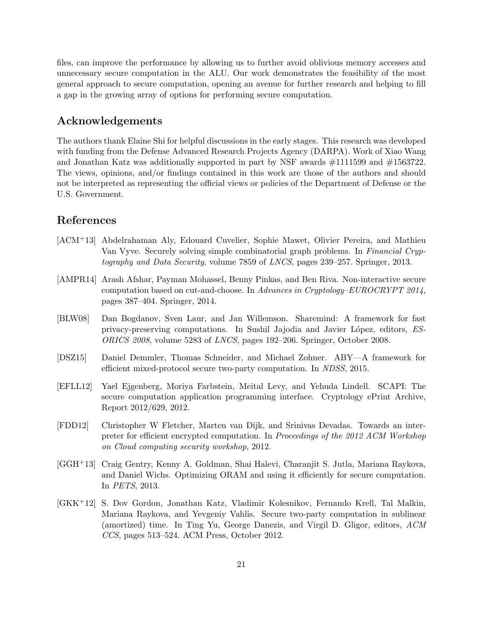files, can improve the performance by allowing us to further avoid oblivious memory accesses and unnecessary secure computation in the ALU. Our work demonstrates the feasibility of the most general approach to secure computation, opening an avenue for further research and helping to fill a gap in the growing array of options for performing secure computation.

# Acknowledgements

The authors thank Elaine Shi for helpful discussions in the early stages. This research was developed with funding from the Defense Advanced Research Projects Agency (DARPA). Work of Xiao Wang and Jonathan Katz was additionally supported in part by NSF awards #1111599 and #1563722. The views, opinions, and/or findings contained in this work are those of the authors and should not be interpreted as representing the official views or policies of the Department of Defense or the U.S. Government.

# References

- <span id="page-20-7"></span>[ACM+13] Abdelrahaman Aly, Edouard Cuvelier, Sophie Mawet, Olivier Pereira, and Mathieu Van Vyve. Securely solving simple combinatorial graph problems. In Financial Cryptography and Data Security, volume 7859 of LNCS, pages 239–257. Springer, 2013.
- <span id="page-20-1"></span>[AMPR14] Arash Afshar, Payman Mohassel, Benny Pinkas, and Ben Riva. Non-interactive secure computation based on cut-and-choose. In Advances in Cryptology–EUROCRYPT 2014, pages 387–404. Springer, 2014.
- <span id="page-20-2"></span>[BLW08] Dan Bogdanov, Sven Laur, and Jan Willemson. Sharemind: A framework for fast privacy-preserving computations. In Sushil Jajodia and Javier López, editors, ES-ORICS 2008, volume 5283 of LNCS, pages 192–206. Springer, October 2008.
- <span id="page-20-5"></span>[DSZ15] Daniel Demmler, Thomas Schneider, and Michael Zohner. ABY—A framework for efficient mixed-protocol secure two-party computation. In NDSS, 2015.
- <span id="page-20-0"></span>[EFLL12] Yael Ejgenberg, Moriya Farbstein, Meital Levy, and Yehuda Lindell. SCAPI: The secure computation application programming interface. Cryptology ePrint Archive, Report 2012/629, 2012.
- <span id="page-20-4"></span>[FDD12] Christopher W Fletcher, Marten van Dijk, and Srinivas Devadas. Towards an interpreter for efficient encrypted computation. In Proceedings of the 2012 ACM Workshop on Cloud computing security workshop, 2012.
- <span id="page-20-6"></span>[GGH+13] Craig Gentry, Kenny A. Goldman, Shai Halevi, Charanjit S. Jutla, Mariana Raykova, and Daniel Wichs. Optimizing ORAM and using it efficiently for secure computation. In PETS, 2013.
- <span id="page-20-3"></span>[GKK+12] S. Dov Gordon, Jonathan Katz, Vladimir Kolesnikov, Fernando Krell, Tal Malkin, Mariana Raykova, and Yevgeniy Vahlis. Secure two-party computation in sublinear (amortized) time. In Ting Yu, George Danezis, and Virgil D. Gligor, editors, ACM CCS, pages 513–524. ACM Press, October 2012.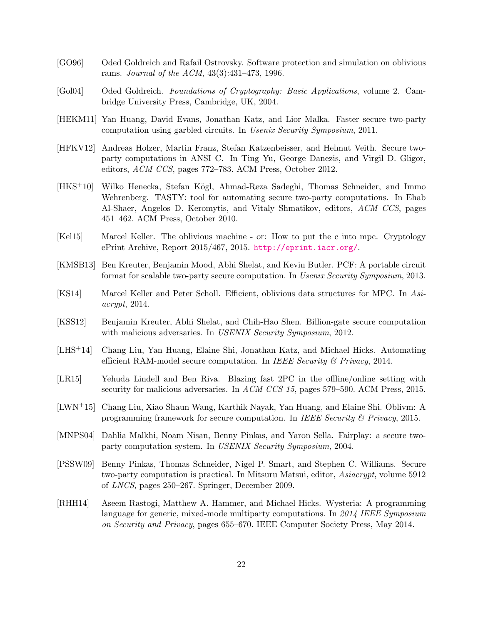- <span id="page-21-11"></span>[GO96] Oded Goldreich and Rafail Ostrovsky. Software protection and simulation on oblivious rams. Journal of the ACM, 43(3):431–473, 1996.
- <span id="page-21-13"></span>[Gol04] Oded Goldreich. Foundations of Cryptography: Basic Applications, volume 2. Cambridge University Press, Cambridge, UK, 2004.
- <span id="page-21-3"></span>[HEKM11] Yan Huang, David Evans, Jonathan Katz, and Lior Malka. Faster secure two-party computation using garbled circuits. In Usenix Security Symposium, 2011.
- <span id="page-21-5"></span>[HFKV12] Andreas Holzer, Martin Franz, Stefan Katzenbeisser, and Helmut Veith. Secure twoparty computations in ANSI C. In Ting Yu, George Danezis, and Virgil D. Gligor, editors, ACM CCS, pages 772–783. ACM Press, October 2012.
- <span id="page-21-2"></span>[HKS<sup>+</sup>10] Wilko Henecka, Stefan Kögl, Ahmad-Reza Sadeghi, Thomas Schneider, and Immo Wehrenberg. TASTY: tool for automating secure two-party computations. In Ehab Al-Shaer, Angelos D. Keromytis, and Vitaly Shmatikov, editors, ACM CCS, pages 451–462. ACM Press, October 2010.
- <span id="page-21-12"></span>[Kel15] Marcel Keller. The oblivious machine - or: How to put the c into mpc. Cryptology ePrint Archive, Report 2015/467, 2015. <http://eprint.iacr.org/>.
- <span id="page-21-7"></span>[KMSB13] Ben Kreuter, Benjamin Mood, Abhi Shelat, and Kevin Butler. PCF: A portable circuit format for scalable two-party secure computation. In Usenix Security Symposium, 2013.
- <span id="page-21-14"></span>[KS14] Marcel Keller and Peter Scholl. Efficient, oblivious data structures for MPC. In Asiacrypt, 2014.
- <span id="page-21-4"></span>[KSS12] Benjamin Kreuter, Abhi Shelat, and Chih-Hao Shen. Billion-gate secure computation with malicious adversaries. In USENIX Security Symposium, 2012.
- <span id="page-21-6"></span>[LHS+14] Chang Liu, Yan Huang, Elaine Shi, Jonathan Katz, and Michael Hicks. Automating efficient RAM-model secure computation. In *IEEE Security*  $\mathscr B$  *Privacy*, 2014.
- <span id="page-21-10"></span>[LR15] Yehuda Lindell and Ben Riva. Blazing fast 2PC in the offline/online setting with security for malicious adversaries. In ACM CCS 15, pages 579–590. ACM Press, 2015.
- <span id="page-21-9"></span>[LWN+15] Chang Liu, Xiao Shaun Wang, Karthik Nayak, Yan Huang, and Elaine Shi. Oblivm: A programming framework for secure computation. In IEEE Security  $\mathcal C$  Privacy, 2015.
- <span id="page-21-0"></span>[MNPS04] Dahlia Malkhi, Noam Nisan, Benny Pinkas, and Yaron Sella. Fairplay: a secure twoparty computation system. In USENIX Security Symposium, 2004.
- <span id="page-21-1"></span>[PSSW09] Benny Pinkas, Thomas Schneider, Nigel P. Smart, and Stephen C. Williams. Secure two-party computation is practical. In Mitsuru Matsui, editor, Asiacrypt, volume 5912 of LNCS, pages 250–267. Springer, December 2009.
- <span id="page-21-8"></span>[RHH14] Aseem Rastogi, Matthew A. Hammer, and Michael Hicks. Wysteria: A programming language for generic, mixed-mode multiparty computations. In 2014 IEEE Symposium on Security and Privacy, pages 655–670. IEEE Computer Society Press, May 2014.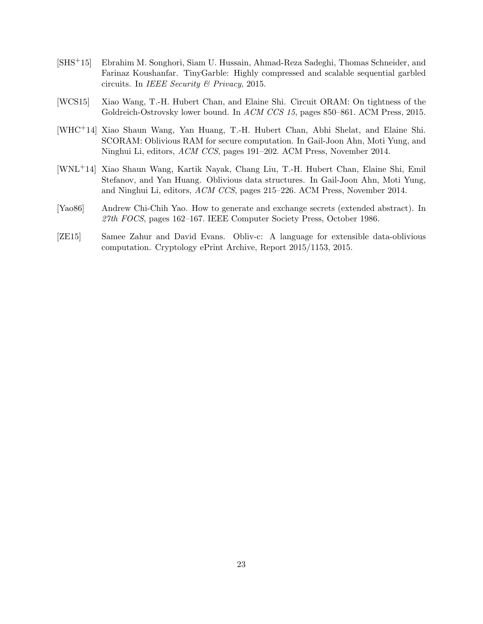- <span id="page-22-2"></span>[SHS+15] Ebrahim M. Songhori, Siam U. Hussain, Ahmad-Reza Sadeghi, Thomas Schneider, and Farinaz Koushanfar. TinyGarble: Highly compressed and scalable sequential garbled circuits. In IEEE Security  $\mathcal B$  Privacy, 2015.
- <span id="page-22-5"></span>[WCS15] Xiao Wang, T.-H. Hubert Chan, and Elaine Shi. Circuit ORAM: On tightness of the Goldreich-Ostrovsky lower bound. In ACM CCS 15, pages 850–861. ACM Press, 2015.
- <span id="page-22-3"></span>[WHC+14] Xiao Shaun Wang, Yan Huang, T.-H. Hubert Chan, Abhi Shelat, and Elaine Shi. SCORAM: Oblivious RAM for secure computation. In Gail-Joon Ahn, Moti Yung, and Ninghui Li, editors, ACM CCS, pages 191–202. ACM Press, November 2014.
- <span id="page-22-4"></span>[WNL+14] Xiao Shaun Wang, Kartik Nayak, Chang Liu, T.-H. Hubert Chan, Elaine Shi, Emil Stefanov, and Yan Huang. Oblivious data structures. In Gail-Joon Ahn, Moti Yung, and Ninghui Li, editors, ACM CCS, pages 215–226. ACM Press, November 2014.
- <span id="page-22-0"></span>[Yao86] Andrew Chi-Chih Yao. How to generate and exchange secrets (extended abstract). In 27th FOCS, pages 162–167. IEEE Computer Society Press, October 1986.
- <span id="page-22-1"></span>[ZE15] Samee Zahur and David Evans. Obliv-c: A language for extensible data-oblivious computation. Cryptology ePrint Archive, Report 2015/1153, 2015.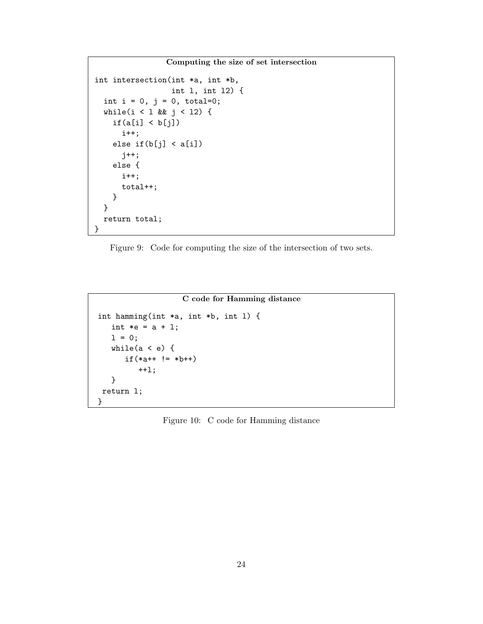#### Computing the size of set intersection

```
int intersection(int *a, int *b,
                 int l, int l2) {
 int i = 0, j = 0, total=0;
 while(i < 1 && j < 12) {
    if(a[i] < b[j])i++;
    else if(b[j] < a[i])
      j++;
    else {
      i++;
      total++;
    }
 }
 return total;
}
```
Figure 9: Code for computing the size of the intersection of two sets.

```
C code for Hamming distance
int hamming(int *a, int *b, int l) {
  int *e = a + 1;1 = 0;while(a < e) {
      if(*a++ != *b++)++l;
   }
return l;
}
```
Figure 10: C code for Hamming distance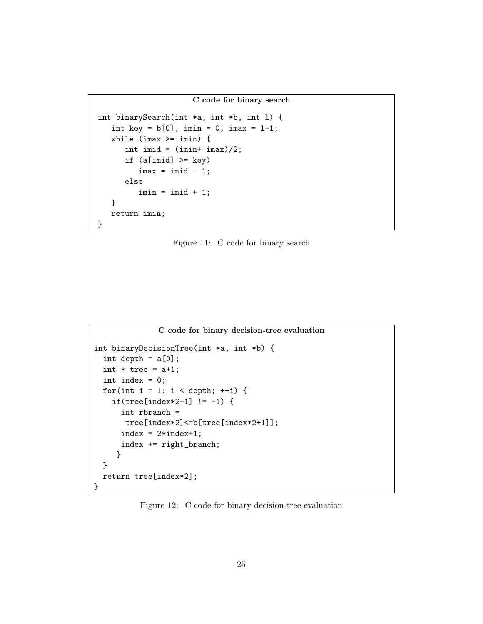C code for binary search

```
int binarySearch(int *a, int *b, int l) {
   int key = b[0], imin = 0, imax = 1-1;
   while (imax >= imin) {
      int imid = (imin+ imax)/2;
      if (a[imid] >= key)imax = imid - 1;else
         imin = imid + 1;}
   return imin;
}
```
Figure 11: C code for binary search

```
C code for binary decision-tree evaluation
int binaryDecisionTree(int *a, int *b) {
  int depth = a[0];
  int * tree = a+1;
  int index = 0;
  for(int i = 1; i < depth; ++i) {
    if(tree[index*2+1] != -1) {
      int rbranch =
       tree[index*2]<=b[tree[index*2+1]];
      index = 2*index+1;index += right_branch;
     }
  }
  return tree[index*2];
}
```
Figure 12: C code for binary decision-tree evaluation